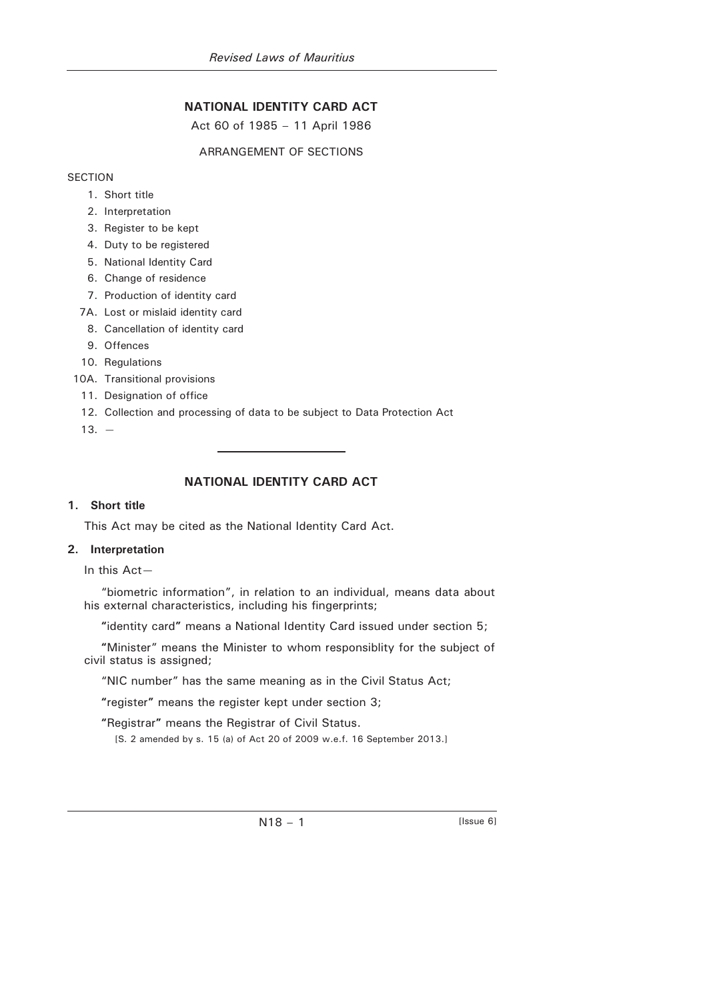# **NATIONAL IDENTITY CARD ACT**

Act 60 of 1985 – 11 April 1986

## ARRANGEMENT OF SECTIONS

**SECTION** 

- 1. Short title
- 2. Interpretation
- 3. Register to be kept
- 4. Duty to be registered
- 5. National Identity Card
- 6. Change of residence
- 7. Production of identity card
- 7A. Lost or mislaid identity card
- 8. Cancellation of identity card
- 9. Offences
- 10. Regulations
- 10A. Transitional provisions
	- 11. Designation of office
	- 12. Collection and processing of data to be subject to Data Protection Act
	- $13. -$

# **NATIONAL IDENTITY CARD ACT**

#### **1. Short title**

This Act may be cited as the National Identity Card Act.

#### **2. Interpretation**

In this Act—

"biometric information", in relation to an individual, means data about his external characteristics, including his fingerprints;

**"**identity card**"** means a National Identity Card issued under section 5;

**"**Minister" means the Minister to whom responsiblity for the subject of civil status is assigned;

"NIC number" has the same meaning as in the Civil Status Act;

**"**register**"** means the register kept under section 3;

**"**Registrar**"** means the Registrar of Civil Status.

[S. 2 amended by s. 15 (a) of Act 20 of 2009 w.e.f. 16 September 2013.]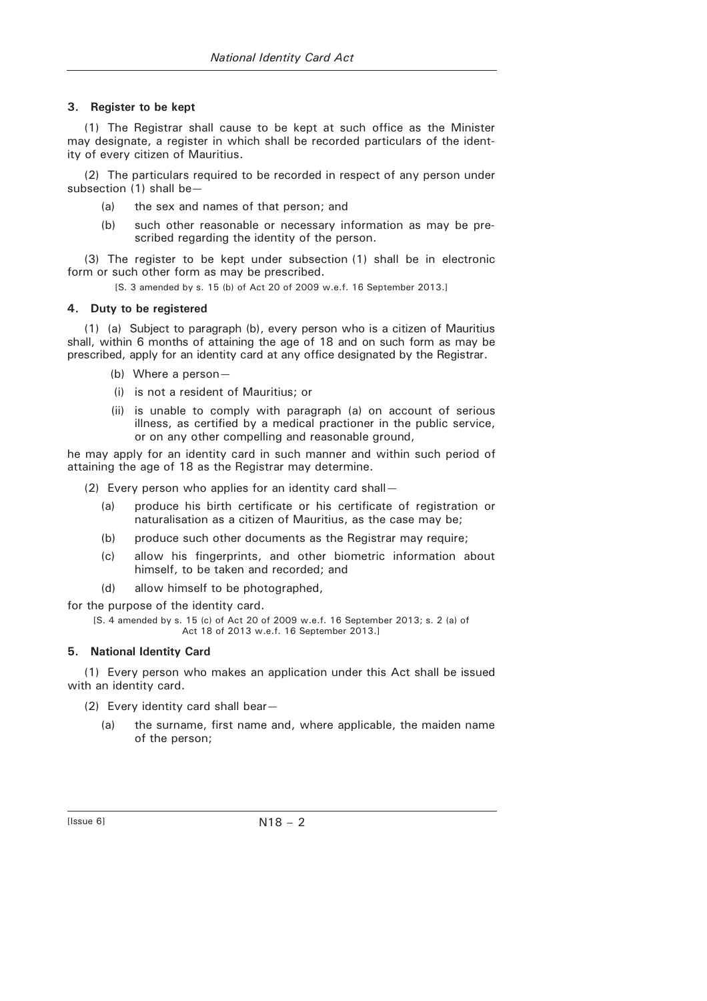#### **3. Register to be kept**

(1) The Registrar shall cause to be kept at such office as the Minister may designate, a register in which shall be recorded particulars of the identity of every citizen of Mauritius.

(2) The particulars required to be recorded in respect of any person under subsection (1) shall be-

- (a) the sex and names of that person; and
- (b) such other reasonable or necessary information as may be prescribed regarding the identity of the person.

(3) The register to be kept under subsection (1) shall be in electronic form or such other form as may be prescribed.

[S. 3 amended by s. 15 (b) of Act 20 of 2009 w.e.f. 16 September 2013.]

## **4. Duty to be registered**

(1) (a) Subject to paragraph (b), every person who is a citizen of Mauritius shall, within 6 months of attaining the age of 18 and on such form as may be prescribed, apply for an identity card at any office designated by the Registrar.

- (b) Where a person—
- (i) is not a resident of Mauritius; or
- (ii) is unable to comply with paragraph (a) on account of serious illness, as certified by a medical practioner in the public service, or on any other compelling and reasonable ground,

he may apply for an identity card in such manner and within such period of attaining the age of 18 as the Registrar may determine.

- (2) Every person who applies for an identity card shall—
	- (a) produce his birth certificate or his certificate of registration or naturalisation as a citizen of Mauritius, as the case may be;
	- (b) produce such other documents as the Registrar may require;
	- (c) allow his fingerprints, and other biometric information about himself, to be taken and recorded; and
	- (d) allow himself to be photographed,

for the purpose of the identity card.

[S. 4 amended by s. 15 (c) of Act 20 of 2009 w.e.f. 16 September 2013; s. 2 (a) of Act 18 of 2013 w.e.f. 16 September 2013.]

## **5. National Identity Card**

(1) Every person who makes an application under this Act shall be issued with an identity card.

- (2) Every identity card shall bear—
	- (a) the surname, first name and, where applicable, the maiden name of the person;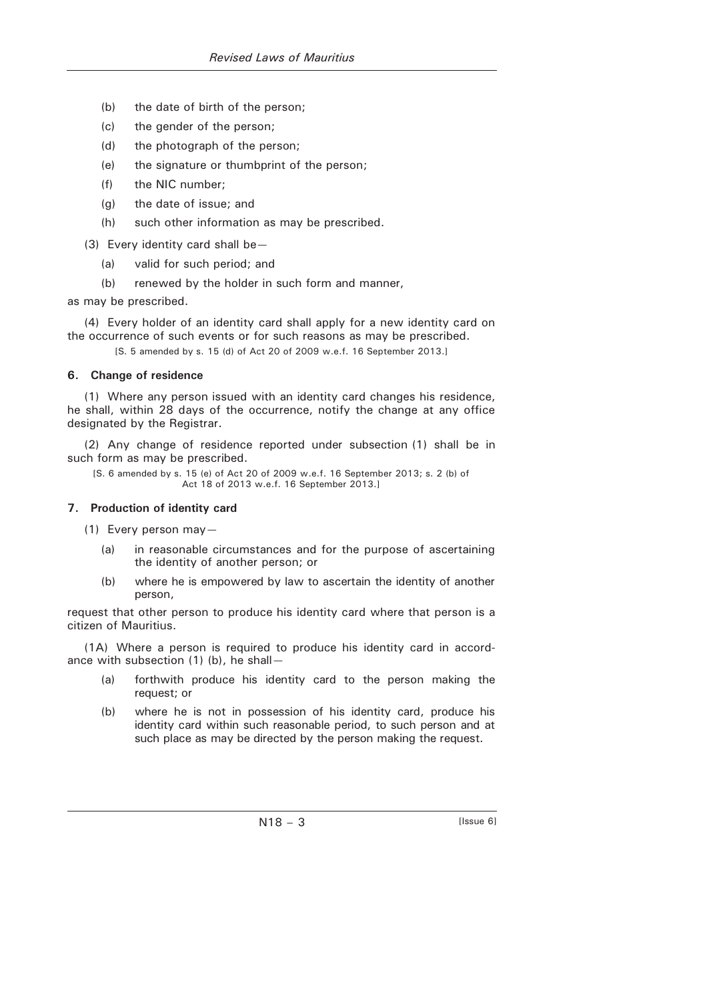- (b) the date of birth of the person;
- (c) the gender of the person;
- (d) the photograph of the person;
- (e) the signature or thumbprint of the person;
- (f) the NIC number;
- (g) the date of issue; and
- (h) such other information as may be prescribed.
- (3) Every identity card shall be—
	- (a) valid for such period; and
	- (b) renewed by the holder in such form and manner,

as may be prescribed.

(4) Every holder of an identity card shall apply for a new identity card on the occurrence of such events or for such reasons as may be prescribed.

[S. 5 amended by s. 15 (d) of Act 20 of 2009 w.e.f. 16 September 2013.]

#### **6. Change of residence**

(1) Where any person issued with an identity card changes his residence, he shall, within 28 days of the occurrence, notify the change at any office designated by the Registrar.

(2) Any change of residence reported under subsection (1) shall be in such form as may be prescribed.

[S. 6 amended by s. 15 (e) of Act 20 of 2009 w.e.f. 16 September 2013; s. 2 (b) of Act 18 of 2013 w.e.f. 16 September 2013.]

#### **7. Production of identity card**

(1) Every person may—

- (a) in reasonable circumstances and for the purpose of ascertaining the identity of another person; or
- (b) where he is empowered by law to ascertain the identity of another person,

request that other person to produce his identity card where that person is a citizen of Mauritius.

(1A) Where a person is required to produce his identity card in accordance with subsection (1) (b), he shall—

- (a) forthwith produce his identity card to the person making the request; or
- (b) where he is not in possession of his identity card, produce his identity card within such reasonable period, to such person and at such place as may be directed by the person making the request.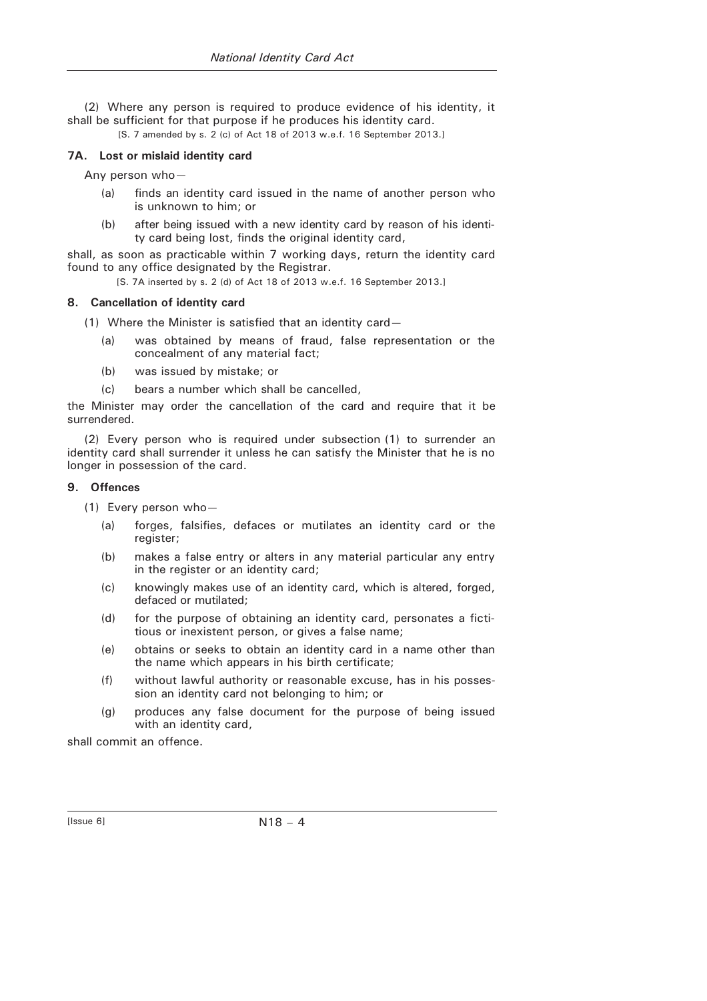(2) Where any person is required to produce evidence of his identity, it shall be sufficient for that purpose if he produces his identity card.

#### **7A. Lost or mislaid identity card**

Any person who—

- (a) finds an identity card issued in the name of another person who is unknown to him; or
- (b) after being issued with a new identity card by reason of his identity card being lost, finds the original identity card,

shall, as soon as practicable within 7 working days, return the identity card found to any office designated by the Registrar.

[S. 7A inserted by s. 2 (d) of Act 18 of 2013 w.e.f. 16 September 2013.]

#### **8. Cancellation of identity card**

- (1) Where the Minister is satisfied that an identity card—
	- (a) was obtained by means of fraud, false representation or the concealment of any material fact;
	- (b) was issued by mistake; or
	- (c) bears a number which shall be cancelled,

the Minister may order the cancellation of the card and require that it be surrendered.

(2) Every person who is required under subsection (1) to surrender an identity card shall surrender it unless he can satisfy the Minister that he is no longer in possession of the card.

#### **9. Offences**

(1) Every person who—

- (a) forges, falsifies, defaces or mutilates an identity card or the register;
- (b) makes a false entry or alters in any material particular any entry in the register or an identity card;
- (c) knowingly makes use of an identity card, which is altered, forged, defaced or mutilated;
- (d) for the purpose of obtaining an identity card, personates a fictitious or inexistent person, or gives a false name;
- (e) obtains or seeks to obtain an identity card in a name other than the name which appears in his birth certificate;
- (f) without lawful authority or reasonable excuse, has in his possession an identity card not belonging to him; or
- (g) produces any false document for the purpose of being issued with an identity card,

shall commit an offence.

<sup>[</sup>S. 7 amended by s. 2 (c) of Act 18 of 2013 w.e.f. 16 September 2013.]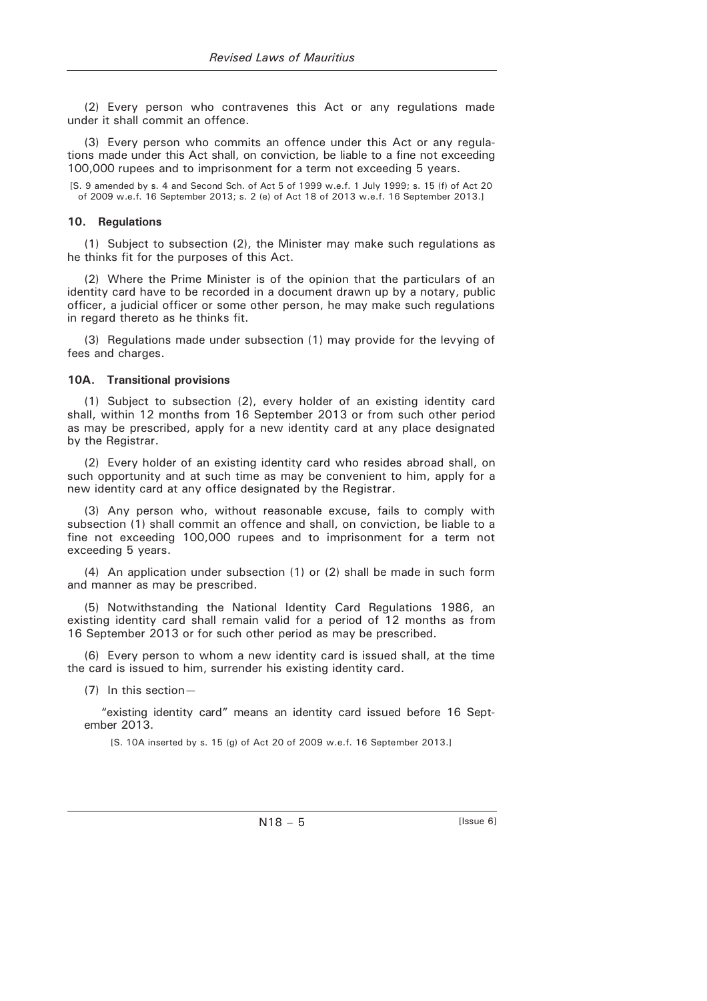(2) Every person who contravenes this Act or any regulations made under it shall commit an offence.

(3) Every person who commits an offence under this Act or any regulations made under this Act shall, on conviction, be liable to a fine not exceeding 100,000 rupees and to imprisonment for a term not exceeding 5 years.

[S. 9 amended by s. 4 and Second Sch. of Act 5 of 1999 w.e.f. 1 July 1999; s. 15 (f) of Act 20 of 2009 w.e.f. 16 September 2013; s. 2 (e) of Act 18 of 2013 w.e.f. 16 September 2013.]

#### **10. Regulations**

(1) Subject to subsection (2), the Minister may make such regulations as he thinks fit for the purposes of this Act.

(2) Where the Prime Minister is of the opinion that the particulars of an identity card have to be recorded in a document drawn up by a notary, public officer, a judicial officer or some other person, he may make such regulations in regard thereto as he thinks fit.

(3) Regulations made under subsection (1) may provide for the levying of fees and charges.

#### **10A. Transitional provisions**

(1) Subject to subsection (2), every holder of an existing identity card shall, within 12 months from 16 September 2013 or from such other period as may be prescribed, apply for a new identity card at any place designated by the Registrar.

(2) Every holder of an existing identity card who resides abroad shall, on such opportunity and at such time as may be convenient to him, apply for a new identity card at any office designated by the Registrar.

(3) Any person who, without reasonable excuse, fails to comply with subsection (1) shall commit an offence and shall, on conviction, be liable to a fine not exceeding 100,000 rupees and to imprisonment for a term not exceeding 5 years.

(4) An application under subsection (1) or (2) shall be made in such form and manner as may be prescribed.

(5) Notwithstanding the National Identity Card Regulations 1986, an existing identity card shall remain valid for a period of 12 months as from 16 September 2013 or for such other period as may be prescribed.

(6) Every person to whom a new identity card is issued shall, at the time the card is issued to him, surrender his existing identity card.

(7) In this section—

"existing identity card" means an identity card issued before 16 September 2013.

[S. 10A inserted by s. 15 (g) of Act 20 of 2009 w.e.f. 16 September 2013.]